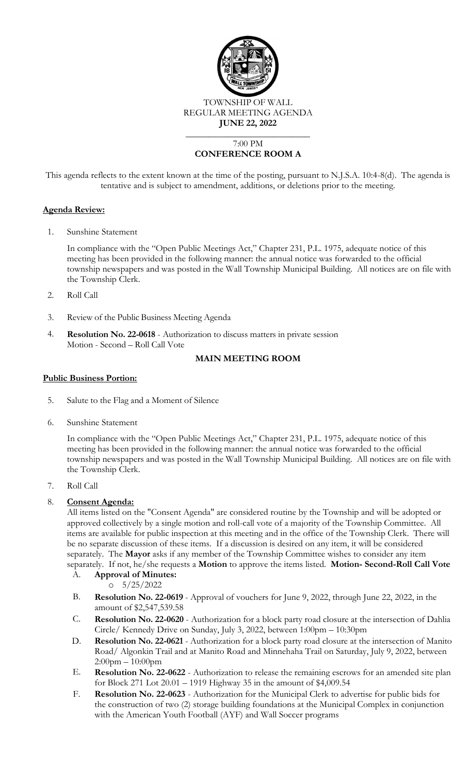

REGULAR MEETING AGENDA

**JUNE 22, 2022**

# 7:00 PM **CONFERENCE ROOM A**

 $\overline{\phantom{a}}$  , where  $\overline{\phantom{a}}$  , where  $\overline{\phantom{a}}$  , where  $\overline{\phantom{a}}$ 

This agenda reflects to the extent known at the time of the posting, pursuant to N.J.S.A. 10:4-8(d). The agenda is tentative and is subject to amendment, additions, or deletions prior to the meeting.

# **Agenda Review:**

1. Sunshine Statement

In compliance with the "Open Public Meetings Act," Chapter 231, P.L. 1975, adequate notice of this meeting has been provided in the following manner: the annual notice was forwarded to the official township newspapers and was posted in the Wall Township Municipal Building. All notices are on file with the Township Clerk.

- 2. Roll Call
- 3. Review of the Public Business Meeting Agenda
- 4. **Resolution No. 22-0618** Authorization to discuss matters in private session Motion - Second – Roll Call Vote

# **MAIN MEETING ROOM**

# **Public Business Portion:**

- 5. Salute to the Flag and a Moment of Silence
- 6. Sunshine Statement

In compliance with the "Open Public Meetings Act," Chapter 231, P.L. 1975, adequate notice of this meeting has been provided in the following manner: the annual notice was forwarded to the official township newspapers and was posted in the Wall Township Municipal Building. All notices are on file with the Township Clerk.

7. Roll Call

# 8. **Consent Agenda:**

All items listed on the "Consent Agenda" are considered routine by the Township and will be adopted or approved collectively by a single motion and roll-call vote of a majority of the Township Committee. All items are available for public inspection at this meeting and in the office of the Township Clerk. There will be no separate discussion of these items. If a discussion is desired on any item, it will be considered separately. The **Mayor** asks if any member of the Township Committee wishes to consider any item separately. If not, he/she requests a **Motion** to approve the items listed. **Motion- Second-Roll Call Vote**

A. **Approval of Minutes:**

 $0.5/25/2022$ 

- B. **Resolution No. 22-0619**  Approval of vouchers for June 9, 2022, through June 22, 2022, in the amount of \$2,547,539.58
- C. **Resolution No. 22-0620** Authorization for a block party road closure at the intersection of Dahlia Circle/ Kennedy Drive on Sunday, July 3, 2022, between 1:00pm – 10:30pm
- D. **Resolution No. 22-0621** Authorization for a block party road closure at the intersection of Manito Road/ Algonkin Trail and at Manito Road and Minnehaha Trail on Saturday, July 9, 2022, between 2:00pm – 10:00pm
- E. **Resolution No. 22-0622** Authorization to release the remaining escrows for an amended site plan for Block 271 Lot 20.01 – 1919 Highway 35 in the amount of \$4,009.54
- F. **Resolution No. 22-0623** Authorization for the Municipal Clerk to advertise for public bids for the construction of two (2) storage building foundations at the Municipal Complex in conjunction with the American Youth Football (AYF) and Wall Soccer programs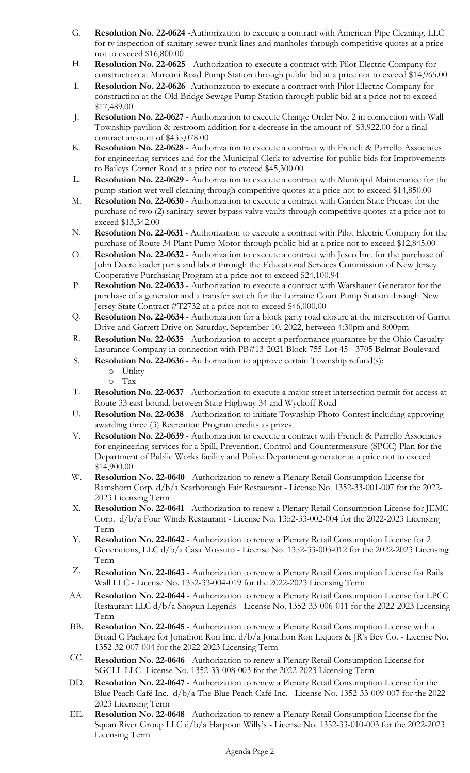- G. **Resolution No. 22-0624** -Authorization to execute a contract with American Pipe Cleaning, LLC for tv inspection of sanitary sewer trunk lines and manholes through competitive quotes at a price not to exceed \$16,800.00
- H. **Resolution No. 22-0625** Authorization to execute a contract with Pilot Electric Company for construction at Marconi Road Pump Station through public bid at a price not to exceed \$14,965.00
- I. **Resolution No. 22-0626** -Authorization to execute a contract with Pilot Electric Company for construction at the Old Bridge Sewage Pump Station through public bid at a price not to exceed \$17,489.00
- J. **Resolution No. 22-0627** Authorization to execute Change Order No. 2 in connection with Wall Township pavilion & restroom addition for a decrease in the amount of -\$3,922.00 for a final contract amount of \$435,078.00
- K. **Resolution No. 22-0628**  Authorization to execute a contract with French & Parrello Associates for engineering services and for the Municipal Clerk to advertise for public bids for Improvements to Baileys Corner Road at a price not to exceed \$45,300.00
- L. **Resolution No. 22-0629**  Authorization to execute a contract with Municipal Maintenance for the pump station wet well cleaning through competitive quotes at a price not to exceed \$14,850.00
- M. **Resolution No. 22-0630**  Authorization to execute a contract with Garden State Precast for the purchase of two (2) sanitary sewer bypass valve vaults through competitive quotes at a price not to exceed \$13,342.00
- N. **Resolution No. 22-0631**  Authorization to execute a contract with Pilot Electric Company for the purchase of Route 34 Plant Pump Motor through public bid at a price not to exceed \$12,845.00
- O. **Resolution No. 22-0632** Authorization to execute a contract with Jesco Inc. for the purchase of John Deere loader parts and labor through the Educational Services Commission of New Jersey Cooperative Purchasing Program at a price not to exceed \$24,100.94
- P. **Resolution No. 22-0633** Authorization to execute a contract with Warshauer Generator for the purchase of a generator and a transfer switch for the Lorraine Court Pump Station through New Jersey State Contract #T2732 at a price not to exceed \$46,000.00
- Q. **Resolution No. 22-0634** Authorization for a block party road closure at the intersection of Garret Drive and Garrett Drive on Saturday, September 10, 2022, between 4:30pm and 8:00pm
- R. **Resolution No. 22-0635**  Authorization to accept a performance guarantee by the Ohio Casualty Insurance Company in connection with PB#13-2021 Block 755 Lot 45 - 3705 Belmar Boulevard
- S. **Resolution No. 22-0636**  Authorization to approve certain Township refund(s):
	- o Utility
	- o Tax
- T. **Resolution No. 22-0637**  Authorization to execute a major street intersection permit for access at Route 33 east bound, between State Highway 34 and Wyckoff Road
- U. **Resolution No. 22-0638**  Authorization to initiate Township Photo Contest including approving awarding three (3) Recreation Program credits as prizes
- V. **Resolution No. 22-0639**  Authorization to execute a contract with French & Parrello Associates for engineering services for a Spill, Prevention, Control and Countermeasure (SPCC) Plan for the Department of Public Works facility and Police Department generator at a price not to exceed \$14,900.00
- W. **Resolution No. 22-0640** Authorization to renew a Plenary Retail Consumption License for Ramshorn Corp. d/b/a Scarborough Fair Restaurant - License No. 1352-33-001-007 for the 2022- 2023 Licensing Term
- X. **Resolution No. 22-0641** Authorization to renew a Plenary Retail Consumption License for JEMC Corp. d/b/a Four Winds Restaurant - License No. 1352-33-002-004 for the 2022-2023 Licensing Term
- Y. **Resolution No. 22-0642** Authorization to renew a Plenary Retail Consumption License for 2 Generations, LLC d/b/a Casa Mossuto - License No. 1352-33-003-012 for the 2022-2023 Licensing Term
- Z. **Resolution No. 22-0643** Authorization to renew a Plenary Retail Consumption License for Rails Wall LLC - License No. 1352-33-004-019 for the 2022-2023 Licensing Term
- AA. **Resolution No. 22-0644** Authorization to renew a Plenary Retail Consumption License for LPCC Restaurant LLC d/b/a Shogun Legends - License No. 1352-33-006-011 for the 2022-2023 Licensing Term
- BB. **Resolution No. 22-0645** Authorization to renew a Plenary Retail Consumption License with a Broad C Package for Jonathon Ron Inc. d/b/a Jonathon Ron Liquors & JR's Bev Co. - License No. 1352-32-007-004 for the 2022-2023 Licensing Term
- CC. **Resolution No. 22-0646** Authorization to renew a Plenary Retail Consumption License for SGCLL LLC- License No. 1352-33-008-003 for the 2022-2023 Licensing Term
- DD. **Resolution No. 22-0647** Authorization to renew a Plenary Retail Consumption License for the Blue Peach Café Inc. d/b/a The Blue Peach Café Inc. - License No. 1352-33-009-007 for the 2022- 2023 Licensing Term
- EE. **Resolution No. 22-0648** Authorization to renew a Plenary Retail Consumption License for the Squan River Group LLC d/b/a Harpoon Willy's - License No. 1352-33-010-003 for the 2022-2023 Licensing Term